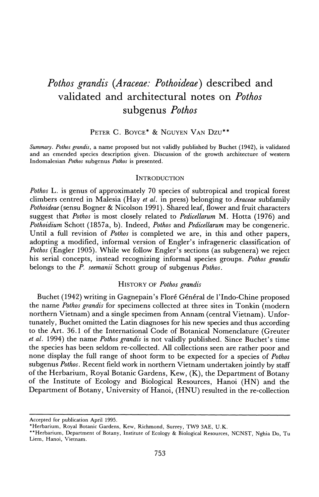# **Pothos grandis (Araceae: Pothoideae) described and validated and architectural notes on Pothos subgenus Pothos**

## **PETER C. BOYCE\* & NGUYEN VAN Dzu\*\***

**Summary. Pothos grandis, a name proposed but not validly published by Buchet (1942), is validated and an emended species description given. Discussion of the growth architecture of western Indomalesian Pothos subgenus Pothos is presented.** 

#### **INTRODUCTION**

**Pothos L. is genus of approximately 70 species of subtropical and tropical forest climbers centred in Malesia (Hay et al. in press) belonging to Araceae subfamily Pothoideae (sensu Bogner & Nicolson 1991). Shared leaf, flower and fruit characters suggest that Pothos is most closely related to Pedicellarum M. Hotta (1976) and Pothoidium Schott (1857a, b). Indeed, Pothos and Pedicellarum may be congeneric. Until a full revision of Pothos is completed we are, in this and other papers, adopting a modified, informal version of Engler's infrageneric classification of Pothos (Engler 1905). While we follow Engler's sections (as subgenera) we reject his serial concepts, instead recognizing informal species groups. Pothos grandis belongs to the P. seemanii Schott group of subgenus Pothos.** 

#### **HISTORY OF Pothos grandis**

**Buchet (1942) writing in Gagnepain's Flore Gen6ral de l'Indo-Chine proposed the name Pothos grandis for specimens collected at three sites in Tonkin (modern northern Vietnam) and a single specimen from Annam (central Vietnam). Unfortunately, Buchet omitted the Latin diagnoses for his new species and thus according to the Art. 36.1 of the International Code of Botanical Nomenclature (Greuter et al. 1994) the name Pothos grandis is not validly published. Since Buchet's time the species has been seldom re-collected. All collections seen are rather poor and none display the full range of shoot form to be expected for a species of Pothos subgenus Pothos. Recent field work in northern Vietnam undertaken jointly by staff of the Herbarium, Royal Botanic Gardens, Kew, (K), the Department of Botany of the Institute of Ecology and Biological Resources, Hanoi (HN) and the Department of Botany, University of Hanoi, (HNU) resulted in the re-collection** 

**Accepted for publication April 1995.** 

**<sup>\*</sup>Herbarium, Royal Botanic Gardens, Kew, Richmond, Surrey, TW9 3AE, U.K.** 

**<sup>\*\*</sup>Herbarium, Department of Botany, Institute of Ecology & Biological Resources, NCNST, Nghia Do, Tu Liem, Hanoi, Vietnam.**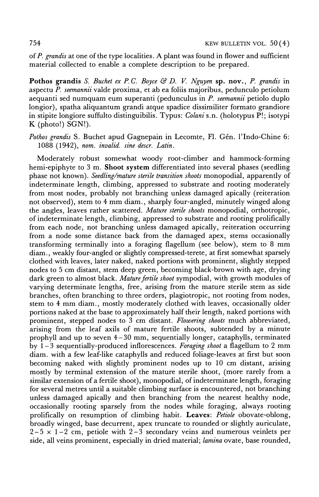**of P. grandis at one of the type localities. A plant was found in flower and sufficient material collected to enable a complete description to be prepared.** 

**Pothos grandis** S. Buchet ex P.C. Boyce & D. V. Nguyen sp. nov., P. grandis in **aspectu P. seemannii valde proxima, et ab ea foliis majoribus, pedunculo petiolum aequanti sed numquam eum superanti (pedunculus in P. seemannii petiolo duplo longior), spatha aliquantum grandi atque spadice dissimiliter formato grandiore in stipite longiore suffulto distinguibilis. Typus: Colani s.n. (holotypus P!; isotypi K (photo!) SGN!).** 

Pothos grandis S. Buchet apud Gagnepain in Lecomte, Fl. Gén. l'Indo-Chine 6: **1088 (1942), nom. invalid. sine descr. Latin.** 

**Moderately robust somewhat woody root-climber and hammock-forming hemi-epiphyte to 3 m. Shoot system differentiated into several phases (seedling phase not known). Seedling/mature sterile transition shoots monopodial, apparently of indeterminate length, climbing, appressed to substrate and rooting moderately from most nodes, probably not branching unless damaged apically (reiteration not observed), stem to 4 mm diam., sharply four-angled, minutely winged along the angles, leaves rather scattered. Mature sterile shoots monopodial, orthotropic, of indeterminate length, climbing, appressed to substrate and rooting prolifically from each node, not branching unless damaged apically, reiteration occurring from a node some distance back from the damaged apex, stems occasionally transforming terminally into a foraging flagellum (see below), stem to 8 mm diam., weakly four-angled or slightly compressed-terete, at first somewhat sparsely clothed with leaves, later naked, naked portions with prominent, slightly stepped nodes to 5 cm distant, stem deep green, becoming black-brown with age, drying dark green to almost black. Mature fertile shoot sympodial, with growth modules of varying determinate lengths, free, arising from the mature sterile stem as side branches, often branching to three orders, plagiotropic, not rooting from nodes, stem to 4 mm diam., mostly moderately clothed with leaves, occasionally older portions naked at the base to approximately half their length, naked portions with prominent, stepped nodes to 3 cm distant. Flowering shoots much abbreviated, arising from the leaf axils of mature fertile shoots, subtended by a minute prophyll and up to seven 4-30 mm, sequentially longer, cataphylls, terminated by 1- 3 sequentially-produced inflorescences. Foraging shoot a flagellum to 2 mm diam. with a few leaf-like cataphylls and reduced foliage-leaves at first but soon becoming naked with slightly prominent nodes up to 10 cm distant, arising mostly by terminal extension of the mature sterile shoot, (more rarely from a similar extension of a fertile shoot), monopodial, of indeterminate length, foraging for several metres until a suitable climbing surface is encountered, not branching unless damaged apically and then branching from the nearest healthy node, occasionally rooting sparsely from the nodes while foraging, always rooting**  prolifically on resumption of climbing habit. Leaves: Petiole obovate-oblong, **broadly winged, base decurrent, apex truncate to rounded or slightly auriculate, 2-5 x 1-2 cm, petiole with 2-3 secondary veins and numerous veinlets per side, all veins prominent, especially in dried material; lamina ovate, base rounded,**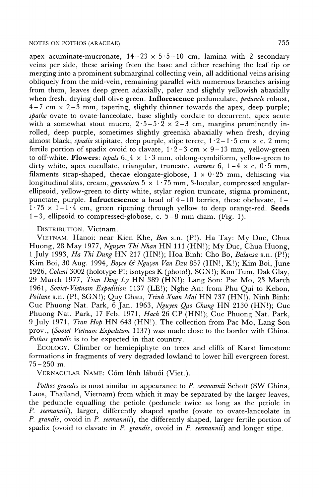### **NOTES ON POTHOS (ARACEAE) 755**

apex acuminate-mucronate,  $14-23 \times 5 \cdot 5-10$  cm, lamina with 2 secondary **veins per side, these arising from the base and either reaching the leaf tip or merging into a prominent submarginal collecting vein, all additional veins arising obliquely from the mid-vein, remaining parallel with numerous branches arising from them, leaves deep green adaxially, paler and slightly yellowish abaxially**  when fresh, drying dull olive green. **Inflorescence** pedunculate, *peduncle* robust, **4-7 cm x 2-3 mm, tapering, slightly thinner towards the apex, deep purple; spathe ovate to ovate-lanceolate, base slightly cordate to decurrent, apex acute**  with a somewhat stout mucro,  $2 \cdot 5 - 5 \cdot 2 \times 2 - 3$  cm, margins prominently in**rolled, deep purple, sometimes slightly greenish abaxially when fresh, drying**  almost black; *spadix* stipitate, deep purple, stipe terete,  $1 \cdot 2 - 1 \cdot 5$  cm  $\times$  c. 2 mm; fertile portion of spadix ovoid to clavate,  $1 \cdot 2 - 3$  cm  $\times$  9-13 mm, yellow-green to off-white. **Flowers**: tepals  $6, 4 \times 1.3$  mm, oblong-cymbiform, yellow-green to **dirty white, apex cucullate, triangular, truncate, stamens 6, 1-4 x c. 0-5 mm,**  filaments strap-shaped, thecae elongate-globose,  $1 \times 0.25$  mm, dehiscing via **longitudinal slits, cream, gynoecium 5 x 1 - 75 mm, 3-locular, compressed angularellipsoid, yellow-green to dirty white, stylar region truncate, stigma prominent, punctate, purple. Infructescence a head of 4- 10 berries, these obclavate, 1 -**   $1.75 \times 1 - 1.4$  cm, green ripening through yellow to deep orange-red. Seeds **1-3, ellipsoid to compressed-globose, c. 5-8 mm diam. (Fig. 1).** 

**DISTRIBUTION. Vietnam.** 

**VIETNAM. Hanoi: near Kien Khe, Bon s.n. (P!). Ha Tay: My Duc, Chua Huong, 28 May 1977, Nguyen Thi Nhan HN 111 (HN!); My Duc, Chua Huong, 1 July 1993, Ha Thi Dung HN 217 (HN!); Hoa Binh: Cho Bo, Balansa s.n. (P!); Kim Boi, 30 Aug. 1994, Boyce & Nguyen Van Dzu 857 (HN!, K!); Kim Boi, June 1926, Colani 3002 (holotype P!; isotypes K (photo!), SGN!); Kon Tum, Dak Glay, 29 March 1977, Tran Ding Ly HN 389 (HN!); Lang Son: Pac Mo, 23 March 1961, Soviet-Vietnam Expedition 1137 (LE!); Nghe An: from Phu Qui to Kebon, Poilane s.n. (P!, SGN!); Quy Chau, Trinh Xuan Mai HN 737 (HN!). Ninh Binh: Cuc Phuong Nat. Park, 6 Jan. 1963, Nguyen Quo Chung HN 2130 (HN!); Cuc Phuong Nat. Park, 17 Feb. 1971, Hach 26 CP (HN!); Cuc Phuong Nat. Park, 9 July 1971, Tran Hop HN 643 (HN!). The collection from Pac Mo, Lang Son prov., (Soviet-Vietnam Expedition 1137) was made close to the border with China. Pothos grandis is to be expected in that country.** 

**ECOLOGY. Climber or hemiepiphyte on trees and cliffs of Karst limestone formations in fragments of very degraded lowland to lower hill evergreen forest. 75-250 m.** 

**VERNACULAR NAME: C6m lknh libu6i (Viet.).** 

**Pothos grandis is most similar in appearance to P. seemannii Schott (SW China, Laos, Thailand, Vietnam) from which it may be separated by the larger leaves, the peduncle equalling the petiole (peduncle twice as long as the petiole in P. seemannii), larger, differently shaped spathe (ovate to ovate-lanceolate in P. grandis, ovoid in P. seemannii), the differently shaped, larger fertile portion of spadix (ovoid to clavate in P. grandis, ovoid in P. seemannii) and longer stipe.**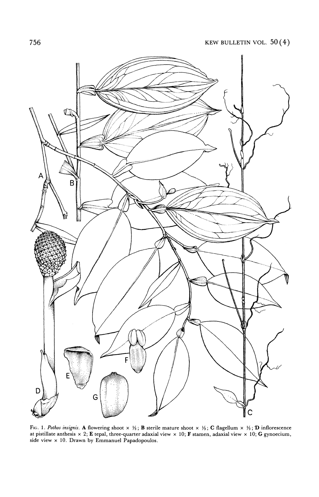

**Fic;. 1. Pothos insignis. A flowering shoot x "; B sterile mature shoot x Y"; C flagellum x Y ; D inflorescence at pistillate anthesis x 2; E tepal, three-quarter adaxial view x 10; F stamen, adaxial view x 10; G gynoecium, side view x 10. Drawn by Emmanuel Papadopoulos.**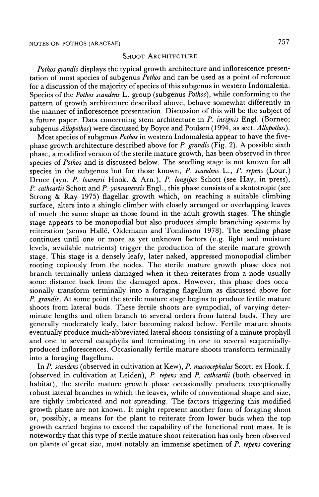#### **SHOOT ARCHITECTURE**

**Pothos grandis displays the typical growth architecture and inflorescence presentation of most species of subgenus Pothos and can be used as a point of reference for a discussion of the majority of species of this subgenus in western Indomalesia. Species of the Pothos scandens L. group (subgenus Pothos), while conforming to the pattern of growth architecture described above, behave somewhat differently in the manner of inflorescence presentation. Discussion of this will be the subject of a future paper. Data concerning stem architecture in P. insignis Engl. (Borneo; subgenus Allopothos) were discussed by Boyce and Poulsen (1994, as sect. Allopothos).** 

**Most species of subgenus Pothos in western Indomalesia appear to have the fivephase growth architecture described above for P. grandis (Fig. 2). A possible sixth phase, a modified version of the sterile mature growth, has been observed in three species of Pothos and is discussed below. The seedling stage is not known for all species in the subgenus but for those known, P. scandens L., P. repens (Lour.) Druce (syn. P. loureirii Hook. & Arn.), P. longipes Schott (see Hay, in press), P. cathcartii Schott and P. yunnanensis Engl., this phase consists of a skototropic (see Strong & Ray 1975) flagellar growth which, on reaching a suitable climbing surface, alters into a shingle climber with closely arranged or overlapping leaves of much the same shape as those found in the adult growth stages. The shingle stage appears to be monopodial but also produces simple branching systems by reiteration (sensu Halle, Oldemann and Tomlinson 1978). The seedling phase continues until one or more as yet unknown factors (e.g. light and moisture levels, available nutrients) trigger the production of the sterile mature growth stage. This stage is a densely leafy, later naked, appressed monopodial climber rooting copiously from the nodes. The sterile mature growth phase does not branch terminally unless damaged when it then reiterates from a node usually some distance back from the damaged apex. However, this phase does occasionally transform terminally into a foraging flagellum as discussed above for P. grandis. At some point the sterile mature stage begins to produce fertile mature shoots from lateral buds. These fertile shoots are sympodial, of varying determinate lengths and often branch to several orders from lateral buds. They are generally moderately leafy, later becoming naked below. Fertile mature shoots eventually produce much-abbreviated lateral shoots consisting of a minute prophyll and one to several cataphylls and terminating in one to several sequentiallyproduced inflorescences. Occasionally fertile mature shoots transform terminally into a foraging flagellum.** 

**In P. scandens (observed in cultivation at Kew), P. macrocephalus Scort. ex Hook. f. (observed in cultivation at Leiden), P. repens and P. cathcartii (both observed in habitat), the sterile mature growth phase occasionally produces exceptionally robust lateral branches in which the leaves, while of conventional shape and size, are tightly imbricated and not spreading. The factors triggering this modified growth phase are not known. It might represent another form of foraging shoot or, possibly, a means for the plant to reiterate from lower buds when the top growth carried begins to exceed the capability of the functional root mass. It is noteworthy that this type of sterile mature shoot reiteration has only been observed on plants of great size, most notably an immense specimen of P. repens covering**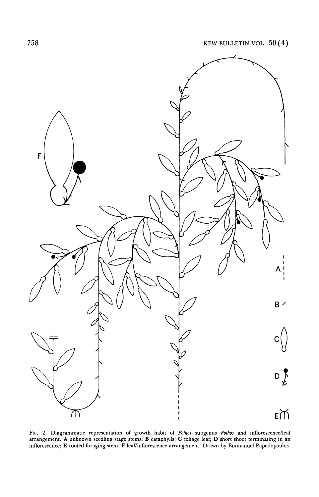

**Flc. 2. Diagrammatic representation of growth habit of Pothos subgenus Pothos and inflorescence/leaf arrangement. A unknown seedling stage stems; B cataphylls; C foliage leaf; D short shoot terminating in an inflorescence; E rooted foraging stem; F leaf/inflorescence arrangement. Drawn by Emmanuel Papadopoulos.**